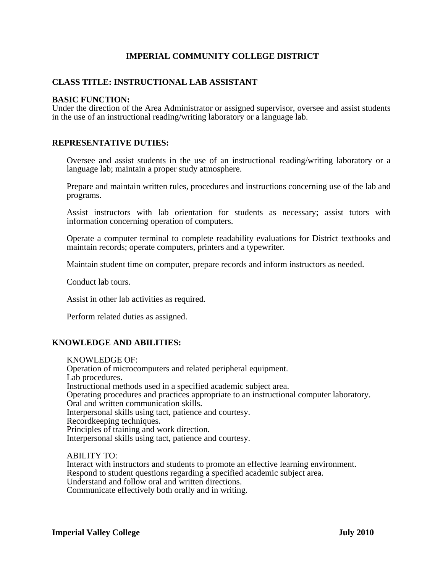# **IMPERIAL COMMUNITY COLLEGE DISTRICT**

### **CLASS TITLE: INSTRUCTIONAL LAB ASSISTANT**

### **BASIC FUNCTION:**

Under the direction of the Area Administrator or assigned supervisor, oversee and assist students in the use of an instructional reading/writing laboratory or a language lab.

### **REPRESENTATIVE DUTIES:**

Oversee and assist students in the use of an instructional reading/writing laboratory or a language lab; maintain a proper study atmosphere.

Prepare and maintain written rules, procedures and instructions concerning use of the lab and programs.

Assist instructors with lab orientation for students as necessary; assist tutors with information concerning operation of computers. Operate a computer terminal to complete readability evaluations for District textbooks and

maintain records; operate computers, printers and a typewriter.

Maintain student time on computer, prepare records and inform instructors as needed.

Conduct lab tours.

Assist in other lab activities as required.

Perform related duties as assigned.

#### **KNOWLEDGE AND ABILITIES:**

KNOWLEDGE OF: Operation of microcomputers and related peripheral equipment. Lab procedures. Instructional methods used in a specified academic subject area. Operating procedures and practices appropriate to an instructional computer laboratory. Oral and written communication skills. Interpersonal skills using tact, patience and courtesy. Recordkeeping techniques. Principles of training and work direction. Interpersonal skills using tact, patience and courtesy.

 ABILITY TO: Interact with instructors and students to promote an effective learning environment. Respond to student questions regarding a specified academic subject area. Understand and follow oral and written directions. Communicate effectively both orally and in writing.